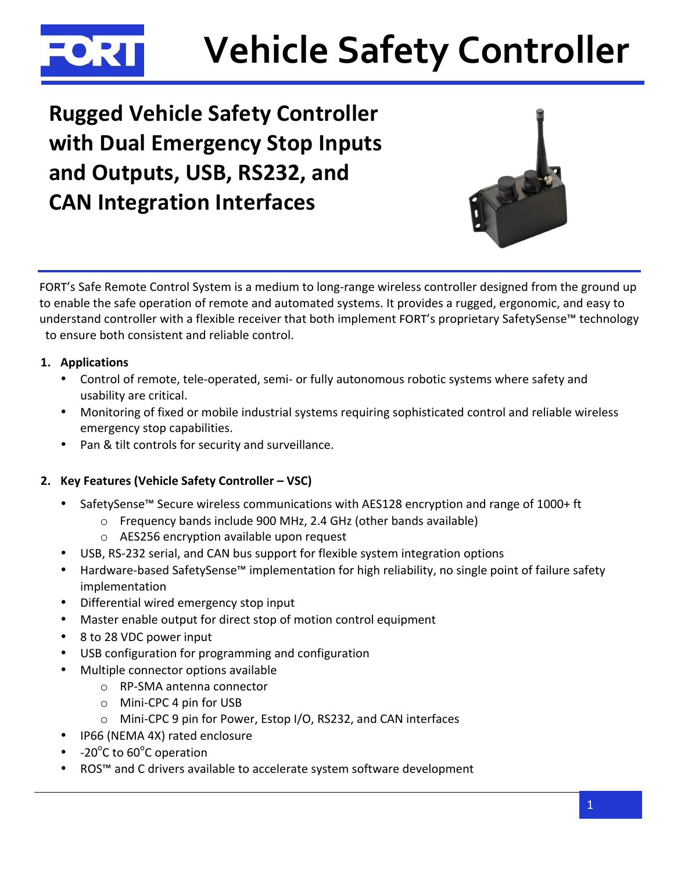

# **Vehicle Safety Controller**

**Rugged Vehicle Safety Controller** with Dual Emergency Stop Inputs and Outputs, USB, RS232, and **CAN Integration Interfaces** 



FORT's Safe Remote Control System is a medium to long-range wireless controller designed from the ground up to enable the safe operation of remote and automated systems. It provides a rugged, ergonomic, and easy to understand controller with a flexible receiver that both implement FORT's proprietary SafetySense™ technology to ensure both consistent and reliable control.

## 1. Applications

- Control of remote, tele-operated, semi- or fully autonomous robotic systems where safety and usability are critical.
- Monitoring of fixed or mobile industrial systems requiring sophisticated control and reliable wireless emergency stop capabilities.
- Pan & tilt controls for security and surveillance.

## 2. Key Features (Vehicle Safety Controller - VSC)

- SafetySense<sup>™</sup> Secure wireless communications with AES128 encryption and range of 1000+ ft
	- o Frequency bands include 900 MHz, 2.4 GHz (other bands available)
	- o AES256 encryption available upon request
- USB, RS-232 serial, and CAN bus support for flexible system integration options  $\bullet$
- Hardware-based SafetySense™ implementation for high reliability, no single point of failure safety implementation
- Differential wired emergency stop input
- Master enable output for direct stop of motion control equipment
- 8 to 28 VDC power input
- USB configuration for programming and configuration
- Multiple connector options available
	- RP-SMA antenna connector
	- $\circ$  Mini-CPC 4 pin for USB
	- O Mini-CPC 9 pin for Power, Estop I/O, RS232, and CAN interfaces
- IP66 (NEMA 4X) rated enclosure
- -20 $^{\circ}$ C to 60 $^{\circ}$ C operation
- ROS™ and C drivers available to accelerate system software development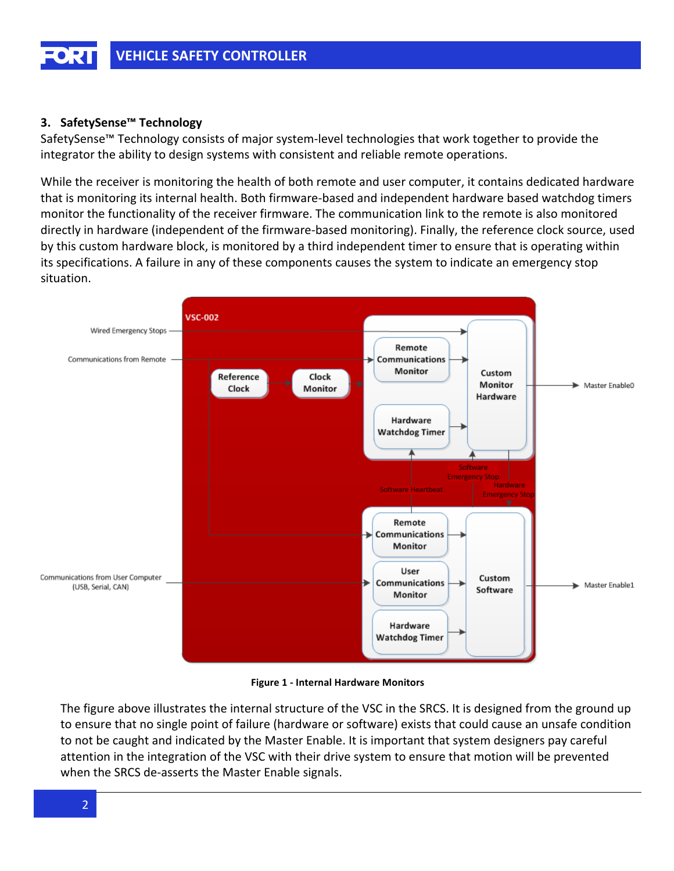## 3. SafetySense<sup>™</sup> Technology

SafetySense<sup>™</sup> Technology consists of major system-level technologies that work together to provide the integrator the ability to design systems with consistent and reliable remote operations.

While the receiver is monitoring the health of both remote and user computer, it contains dedicated hardware that is monitoring its internal health. Both firmware-based and independent hardware based watchdog timers monitor the functionality of the receiver firmware. The communication link to the remote is also monitored directly in hardware (independent of the firmware-based monitoring). Finally, the reference clock source, used by this custom hardware block, is monitored by a third independent timer to ensure that is operating within its specifications. A failure in any of these components causes the system to indicate an emergency stop situation.



**Figure 1 - Internal Hardware Monitors** 

The figure above illustrates the internal structure of the VSC in the SRCS. It is designed from the ground up to ensure that no single point of failure (hardware or software) exists that could cause an unsafe condition to not be caught and indicated by the Master Enable. It is important that system designers pay careful attention in the integration of the VSC with their drive system to ensure that motion will be prevented when the SRCS de-asserts the Master Enable signals.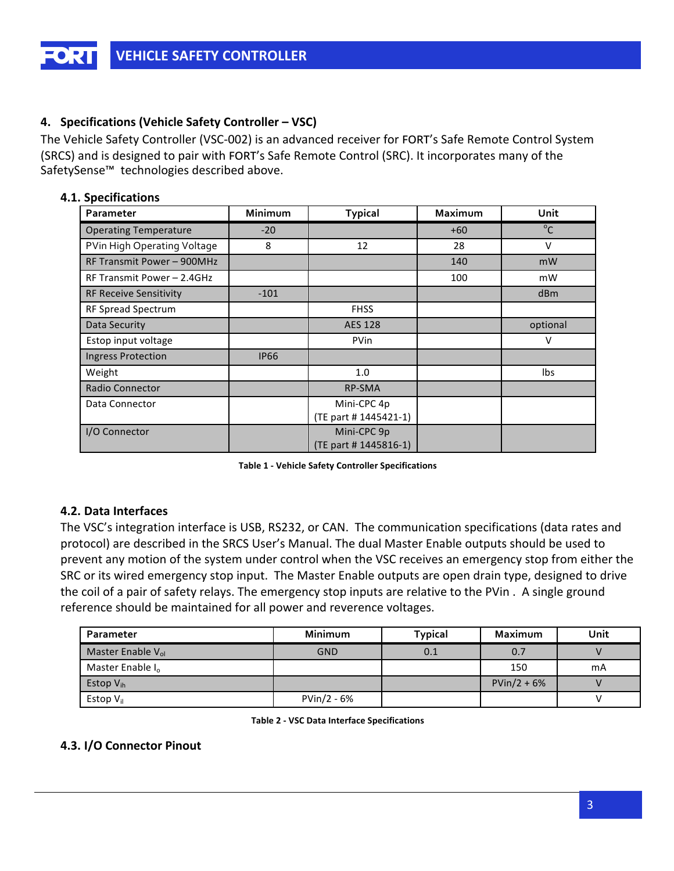## 4. Specifications (Vehicle Safety Controller – VSC)

The Vehicle Safety Controller (VSC-002) is an advanced receiver for FORT's Safe Remote Control System (SRCS) and is designed to pair with FORT's Safe Remote Control (SRC). It incorporates many of the SafetySense<sup>™</sup> technologies described above.

## 4.1. Specifications

| Parameter                     | Minimum     | <b>Typical</b>        | Maximum | Unit            |
|-------------------------------|-------------|-----------------------|---------|-----------------|
| <b>Operating Temperature</b>  | $-20$       |                       | $+60$   | $^{\circ}$ C    |
| PVin High Operating Voltage   | 8           | 12                    | 28      | V               |
| RF Transmit Power - 900MHz    |             |                       | 140     | mW              |
| RF Transmit Power - 2.4GHz    |             |                       | 100     | mW              |
| <b>RF Receive Sensitivity</b> | $-101$      |                       |         | d <sub>Bm</sub> |
| RF Spread Spectrum            |             | <b>FHSS</b>           |         |                 |
| Data Security                 |             | <b>AES 128</b>        |         | optional        |
| Estop input voltage           |             | <b>PVin</b>           |         | v               |
| <b>Ingress Protection</b>     | <b>IP66</b> |                       |         |                 |
| Weight                        |             | 1.0                   |         | Ibs             |
| <b>Radio Connector</b>        |             | <b>RP-SMA</b>         |         |                 |
| Data Connector                |             | Mini-CPC 4p           |         |                 |
|                               |             | (TE part # 1445421-1) |         |                 |
| I/O Connector                 |             | Mini-CPC 9p           |         |                 |
|                               |             | (TE part # 1445816-1) |         |                 |

**Table 1 - Vehicle Safety Controller Specifications** 

## 4.2. Data Interfaces

The VSC's integration interface is USB, RS232, or CAN. The communication specifications (data rates and protocol) are described in the SRCS User's Manual. The dual Master Enable outputs should be used to prevent any motion of the system under control when the VSC receives an emergency stop from either the SRC or its wired emergency stop input. The Master Enable outputs are open drain type, designed to drive the coil of a pair of safety relays. The emergency stop inputs are relative to the PVin. A single ground reference should be maintained for all power and reverence voltages.

| Parameter                     | <b>Minimum</b> | <b>Typical</b> | Maximum       | Unit |
|-------------------------------|----------------|----------------|---------------|------|
| Master Enable V <sub>ol</sub> | <b>GND</b>     | 0.1            | 0.7           |      |
| Master Enable $I_0$           |                |                | 150           | mA   |
| Estop $V_{ih}$                |                |                | $PVin/2 + 6%$ |      |
| Estop $V_{il}$                | PVin/2 - 6%    |                |               |      |

**Table 2 - VSC Data Interface Specifications** 

## 4.3. I/O Connector Pinout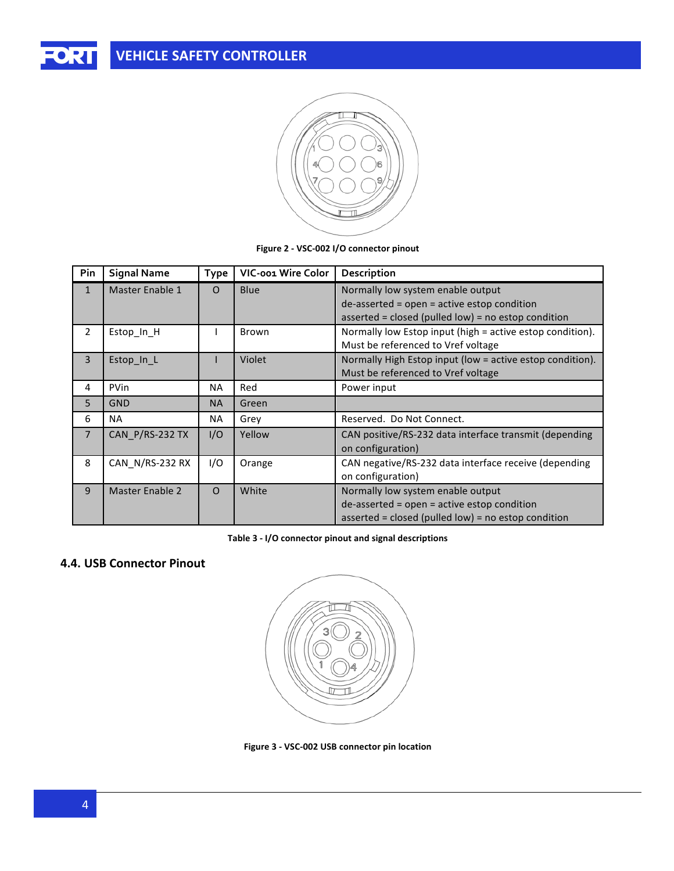

Figure 2 - VSC-002 I/O connector pinout

| Pin            | <b>Signal Name</b>     | <b>Type</b> | VIC-001 Wire Color | Description                                               |
|----------------|------------------------|-------------|--------------------|-----------------------------------------------------------|
| $\mathbf{1}$   | Master Enable 1        | $\Omega$    | Blue               | Normally low system enable output                         |
|                |                        |             |                    | de-asserted = open = active estop condition               |
|                |                        |             |                    | asserted = closed (pulled low) = no estop condition       |
| 2              | Estop_In_H             |             | Brown              | Normally low Estop input (high = active estop condition). |
|                |                        |             |                    | Must be referenced to Vref voltage                        |
| 3              | Estop_In_L             |             | Violet             | Normally High Estop input (low = active estop condition). |
|                |                        |             |                    | Must be referenced to Vref voltage                        |
| 4              | <b>PVin</b>            | <b>NA</b>   | Red                | Power input                                               |
| 5              | <b>GND</b>             | <b>NA</b>   | Green              |                                                           |
| 6              | <b>NA</b>              | NA.         | Grey               | Reserved. Do Not Connect.                                 |
| $\overline{7}$ | CAN P/RS-232 TX        | I/O         | Yellow             | CAN positive/RS-232 data interface transmit (depending    |
|                |                        |             |                    | on configuration)                                         |
| 8              | CAN N/RS-232 RX        | I/O         | Orange             | CAN negative/RS-232 data interface receive (depending     |
|                |                        |             |                    | on configuration)                                         |
| 9              | <b>Master Enable 2</b> | $\Omega$    | White              | Normally low system enable output                         |
|                |                        |             |                    | $de-asserted = open = active \text{ ettop condition}$     |
|                |                        |             |                    | asserted = closed (pulled low) = no estop condition       |

Table 3 - I/O connector pinout and signal descriptions

## 4.4. USB Connector Pinout



Figure 3 - VSC-002 USB connector pin location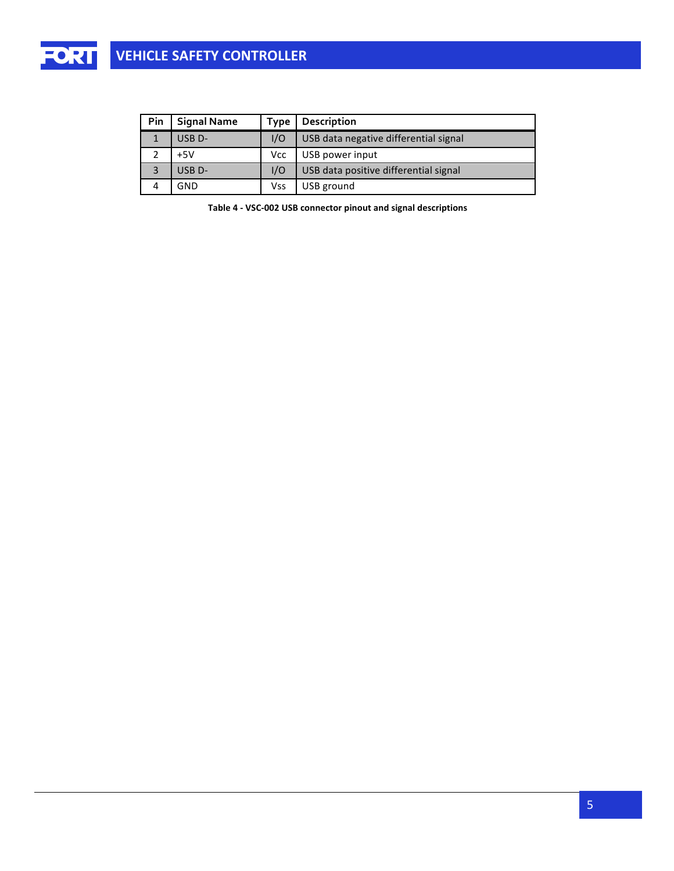

| Pin | <b>Signal Name</b> | Type | Description                           |
|-----|--------------------|------|---------------------------------------|
|     | USB <sub>D</sub> - | 1/O  | USB data negative differential signal |
|     | $+5V$              | Vcc  | USB power input                       |
| 3   | USB <sub>D</sub> - | 1/O  | USB data positive differential signal |
|     | GND                | Vss  | USB ground                            |

Table 4 - VSC-002 USB connector pinout and signal descriptions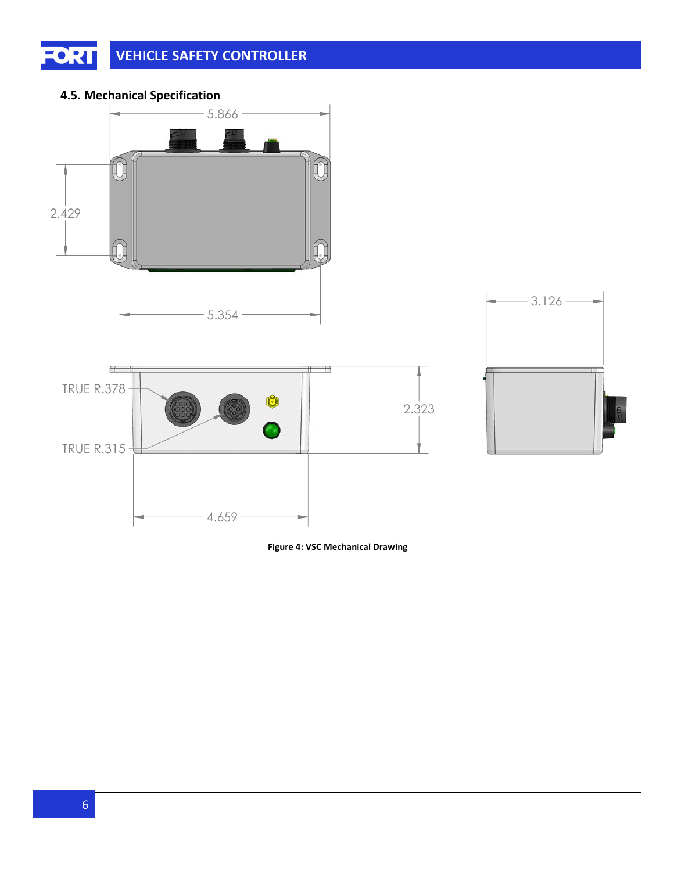#### **FORT VEHICLE SAFETY CONTROLLER**

## **4.5. Mechanical Specification**



**Figure 4: VSC Mechanical Drawing**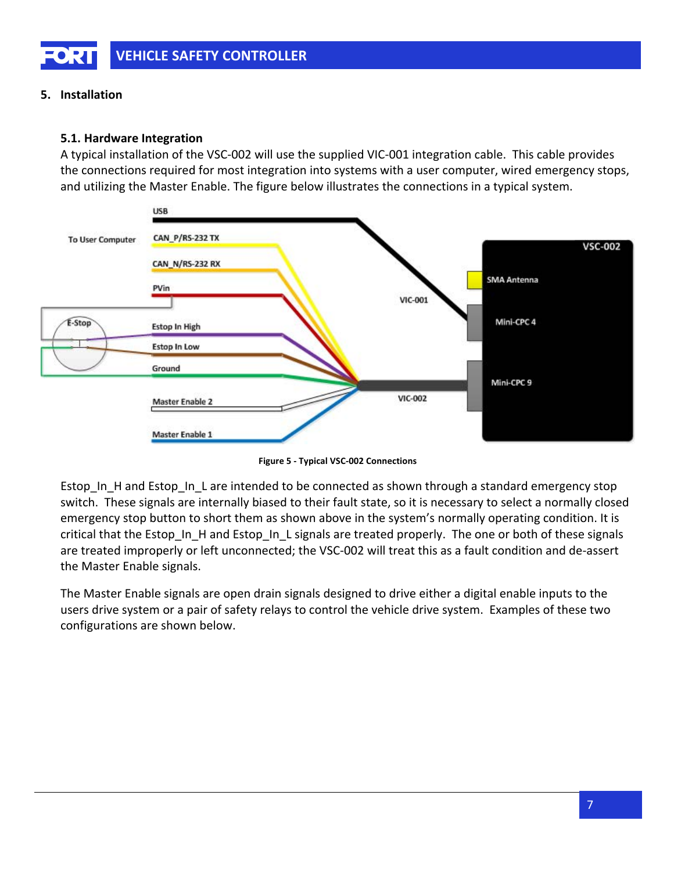## 5. Installation

## 5.1. Hardware Integration

A typical installation of the VSC-002 will use the supplied VIC-001 integration cable. This cable provides the connections required for most integration into systems with a user computer, wired emergency stops, and utilizing the Master Enable. The figure below illustrates the connections in a typical system.



Figure 5 - Typical VSC-002 Connections

Estop\_In\_H and Estop\_In\_L are intended to be connected as shown through a standard emergency stop switch. These signals are internally biased to their fault state, so it is necessary to select a normally closed emergency stop button to short them as shown above in the system's normally operating condition. It is critical that the Estop In H and Estop In L signals are treated properly. The one or both of these signals are treated improperly or left unconnected; the VSC-002 will treat this as a fault condition and de-assert the Master Enable signals.

The Master Enable signals are open drain signals designed to drive either a digital enable inputs to the users drive system or a pair of safety relays to control the vehicle drive system. Examples of these two configurations are shown below.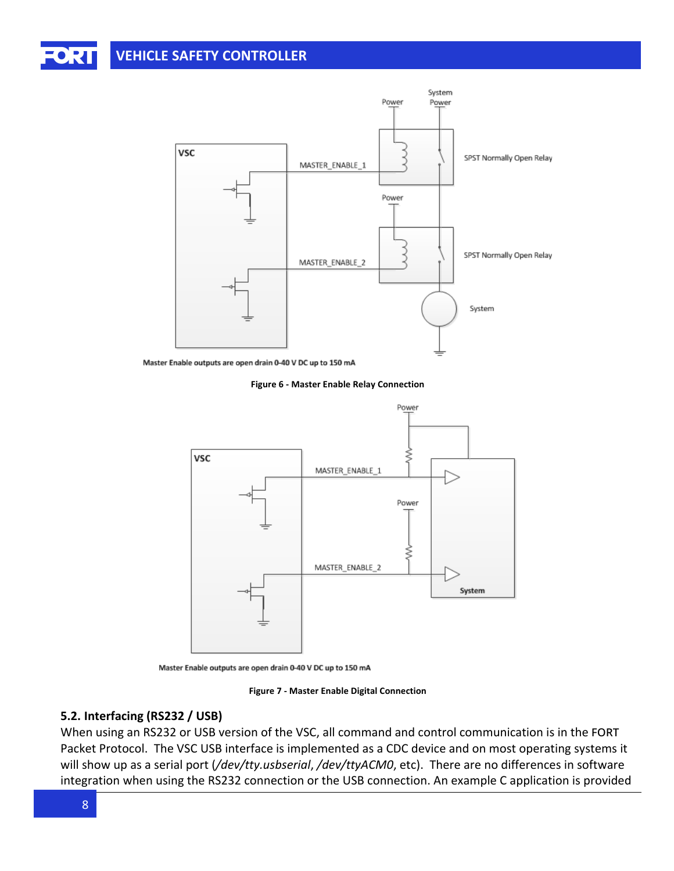# **VEHICLE SAFETY CONTROLLER**



Master Enable outputs are open drain 0-40 V DC up to 150 mA

Figure 6 - Master Enable Relay Connection



Master Enable outputs are open drain 0-40 V DC up to 150 mA

Figure 7 - Master Enable Digital Connection

### 5.2. Interfacing (RS232 / USB)

When using an RS232 or USB version of the VSC, all command and control communication is in the FORT Packet Protocol. The VSC USB interface is implemented as a CDC device and on most operating systems it will show up as a serial port (/dev/tty.usbserial, /dev/ttyACM0, etc). There are no differences in software integration when using the RS232 connection or the USB connection. An example C application is provided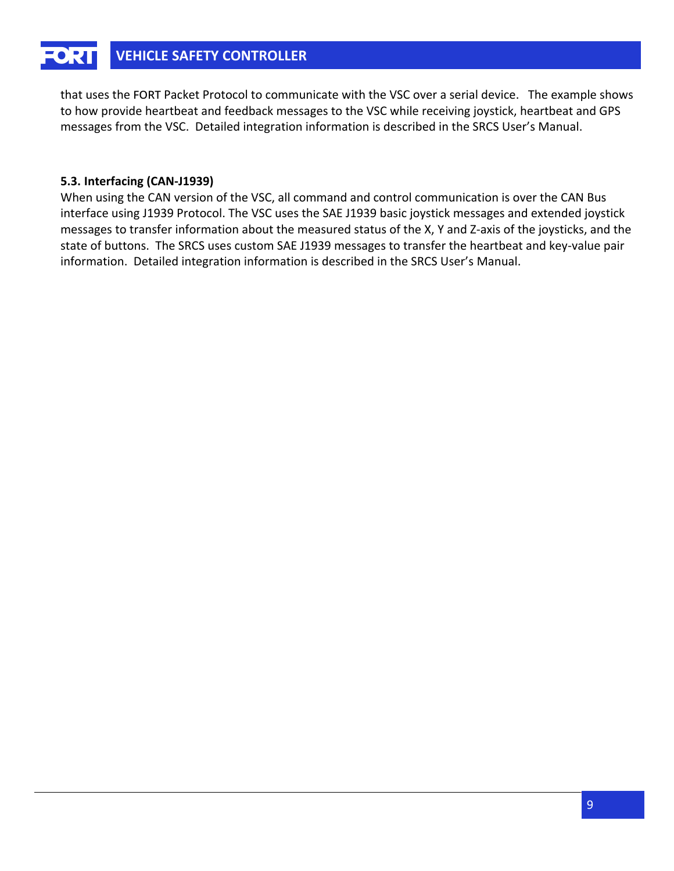#### **VEHICLE SAFETY CONTROLLER** EORT

that uses the FORT Packet Protocol to communicate with the VSC over a serial device. The example shows to how provide heartbeat and feedback messages to the VSC while receiving joystick, heartbeat and GPS messages from the VSC. Detailed integration information is described in the SRCS User's Manual.

## 5.3. Interfacing (CAN-J1939)

When using the CAN version of the VSC, all command and control communication is over the CAN Bus interface using J1939 Protocol. The VSC uses the SAE J1939 basic joystick messages and extended joystick messages to transfer information about the measured status of the X, Y and Z-axis of the joysticks, and the state of buttons. The SRCS uses custom SAE J1939 messages to transfer the heartbeat and key-value pair information. Detailed integration information is described in the SRCS User's Manual.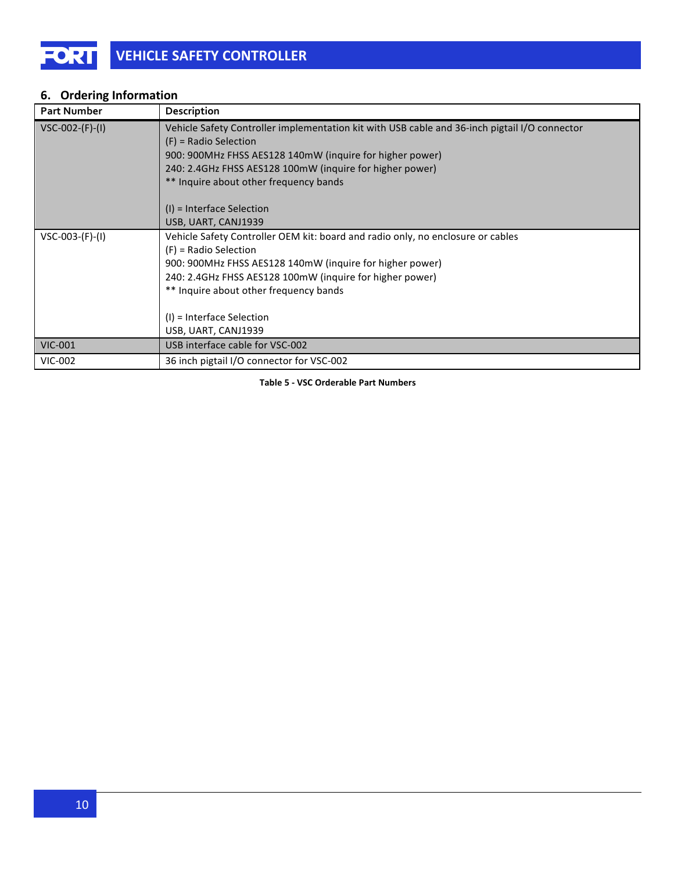## **6.** Ordering Information

| <b>Part Number</b> | Description                                                                                                                                                                                                                                                                                                                                      |
|--------------------|--------------------------------------------------------------------------------------------------------------------------------------------------------------------------------------------------------------------------------------------------------------------------------------------------------------------------------------------------|
| $VSC-002-(F)-(I)$  | Vehicle Safety Controller implementation kit with USB cable and 36-inch pigtail I/O connector<br>$(F)$ = Radio Selection<br>900: 900MHz FHSS AES128 140mW (inquire for higher power)<br>240: 2.4GHz FHSS AES128 100mW (inquire for higher power)<br>** Inquire about other frequency bands<br>$(l)$ = Interface Selection<br>USB, UART, CANJ1939 |
| $VSC-003-(F)-(I)$  | Vehicle Safety Controller OEM kit: board and radio only, no enclosure or cables<br>$(F)$ = Radio Selection<br>900: 900MHz FHSS AES128 140mW (inquire for higher power)<br>240: 2.4GHz FHSS AES128 100mW (inquire for higher power)<br>** Inquire about other frequency bands<br>$(I)$ = Interface Selection<br>USB, UART, CANJ1939               |
| <b>VIC-001</b>     | USB interface cable for VSC-002                                                                                                                                                                                                                                                                                                                  |
| <b>VIC-002</b>     | 36 inch pigtail I/O connector for VSC-002                                                                                                                                                                                                                                                                                                        |

**Table-5-P-VSC Orderable-Part-Numbers**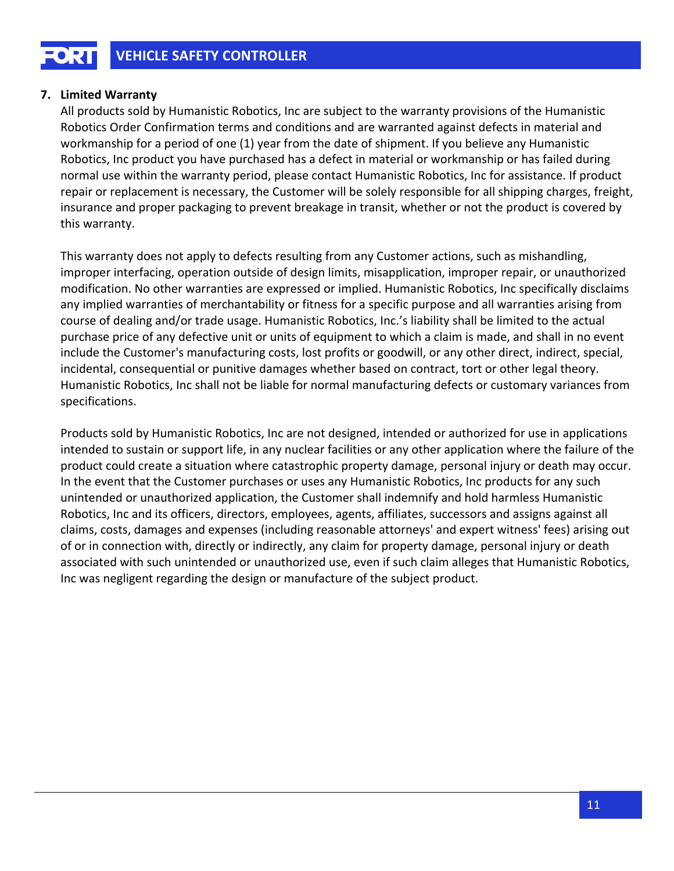## 7. Limited Warranty

All products sold by Humanistic Robotics, Inc are subject to the warranty provisions of the Humanistic Robotics Order Confirmation terms and conditions and are warranted against defects in material and workmanship for a period of one (1) year from the date of shipment. If you believe any Humanistic Robotics, Inc product you have purchased has a defect in material or workmanship or has failed during normal use within the warranty period, please contact Humanistic Robotics, Inc for assistance. If product repair or replacement is necessary, the Customer will be solely responsible for all shipping charges, freight, insurance and proper packaging to prevent breakage in transit, whether or not the product is covered by this warranty.

This warranty does not apply to defects resulting from any Customer actions, such as mishandling, improper interfacing, operation outside of design limits, misapplication, improper repair, or unauthorized modification. No other warranties are expressed or implied. Humanistic Robotics, Inc specifically disclaims any implied warranties of merchantability or fitness for a specific purpose and all warranties arising from course of dealing and/or trade usage. Humanistic Robotics, Inc.'s liability shall be limited to the actual purchase price of any defective unit or units of equipment to which a claim is made, and shall in no event include the Customer's manufacturing costs, lost profits or goodwill, or any other direct, indirect, special, incidental, consequential or punitive damages whether based on contract, tort or other legal theory. Humanistic Robotics, Inc shall not be liable for normal manufacturing defects or customary variances from specifications.

Products sold by Humanistic Robotics, Inc are not designed, intended or authorized for use in applications intended to sustain or support life, in any nuclear facilities or any other application where the failure of the product could create a situation where catastrophic property damage, personal injury or death may occur. In the event that the Customer purchases or uses any Humanistic Robotics, Inc products for any such unintended or unauthorized application, the Customer shall indemnify and hold harmless Humanistic Robotics, Inc and its officers, directors, employees, agents, affiliates, successors and assigns against all claims, costs, damages and expenses (including reasonable attorneys' and expert witness' fees) arising out of or in connection with, directly or indirectly, any claim for property damage, personal injury or death associated with such unintended or unauthorized use, even if such claim alleges that Humanistic Robotics, Inc was negligent regarding the design or manufacture of the subject product.